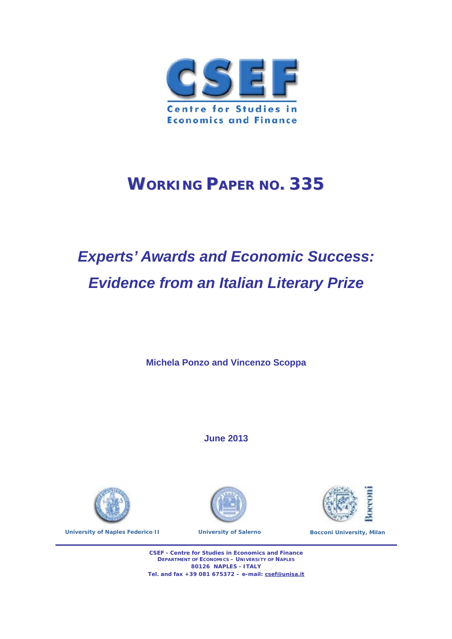

## **WORKING PAPER NO. 335**

# *Experts' Awards and Economic Success: Evidence from an Italian Literary Prize*

**Michela Ponzo and Vincenzo Scoppa** 

**June 2013** 



**University of Naples Federico II Conserversity of Salerno Bocconi University, Milan** 





**CSEF - Centre for Studies in Economics and Finance DEPARTMENT OF ECONOMICS – UNIVERSITY OF NAPLES 80126 NAPLES - ITALY Tel. and fax +39 081 675372 – e-mail: csef@unisa.it**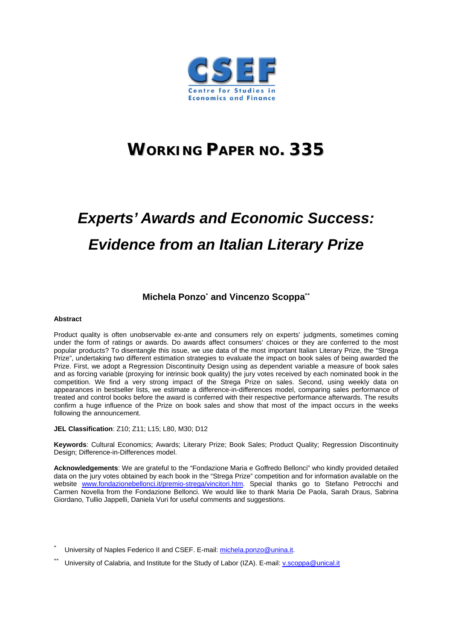

## **WORKING PAPER NO. 335**

# *Experts' Awards and Economic Success: Evidence from an Italian Literary Prize*

## **Michela Ponzo\* and Vincenzo Scoppa\*\***

#### **Abstract**

Product quality is often unobservable ex-ante and consumers rely on experts' judgments, sometimes coming under the form of ratings or awards. Do awards affect consumers' choices or they are conferred to the most popular products? To disentangle this issue, we use data of the most important Italian Literary Prize, the "Strega Prize", undertaking two different estimation strategies to evaluate the impact on book sales of being awarded the Prize. First, we adopt a Regression Discontinuity Design using as dependent variable a measure of book sales and as forcing variable (proxying for intrinsic book quality) the jury votes received by each nominated book in the competition. We find a very strong impact of the Strega Prize on sales. Second, using weekly data on appearances in bestseller lists, we estimate a difference-in-differences model, comparing sales performance of treated and control books before the award is conferred with their respective performance afterwards. The results confirm a huge influence of the Prize on book sales and show that most of the impact occurs in the weeks following the announcement.

**JEL Classification**: Z10; Z11; L15; L80, M30; D12

**Keywords**: Cultural Economics; Awards; Literary Prize; Book Sales; Product Quality; Regression Discontinuity Design; Difference-in-Differences model.

**Acknowledgements**: We are grateful to the "Fondazione Maria e Goffredo Bellonci" who kindly provided detailed data on the jury votes obtained by each book in the "Strega Prize" competition and for information available on the website www.fondazionebellonci.it/premio-strega/vincitori.htm. Special thanks go to Stefano Petrocchi and Carmen Novella from the Fondazione Bellonci. We would like to thank Maria De Paola, Sarah Draus, Sabrina Giordano, Tullio Jappelli, Daniela Vuri for useful comments and suggestions.

- \* University of Naples Federico II and CSEF. E-mail: michela.ponzo@unina.it.
- University of Calabria, and Institute for the Study of Labor (IZA). E-mail: v.scoppa@unical.it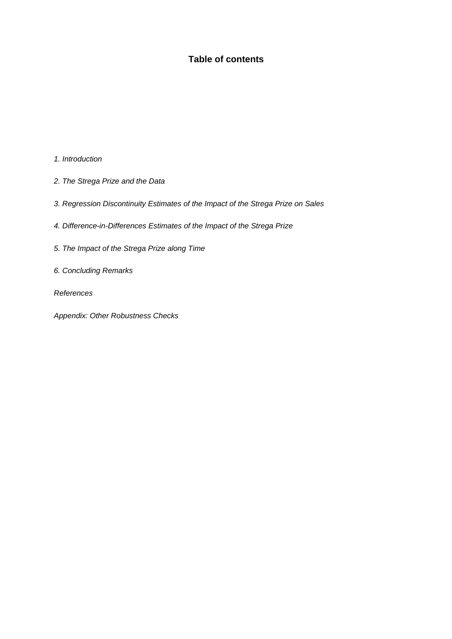## **Table of contents**

*1. Introduction* 

- *2. The Strega Prize and the Data*
- *3. Regression Discontinuity Estimates of the Impact of the Strega Prize on Sales*
- *4. Difference-in-Differences Estimates of the Impact of the Strega Prize*
- *5. The Impact of the Strega Prize along Time*
- *6. Concluding Remarks*

*References* 

*Appendix: Other Robustness Checks*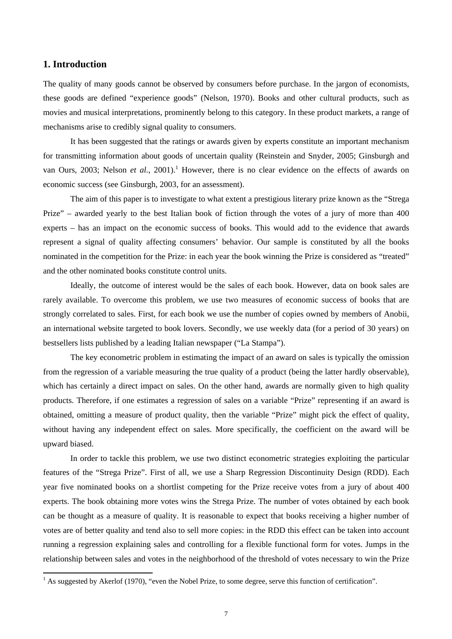## **1. Introduction**

The quality of many goods cannot be observed by consumers before purchase. In the jargon of economists, these goods are defined "experience goods" (Nelson, 1970). Books and other cultural products, such as movies and musical interpretations, prominently belong to this category. In these product markets, a range of mechanisms arise to credibly signal quality to consumers.

It has been suggested that the ratings or awards given by experts constitute an important mechanism for transmitting information about goods of uncertain quality (Reinstein and Snyder, 2005; Ginsburgh and van Ours, 2003; Nelson *et al.*, 2001).<sup>1</sup> However, there is no clear evidence on the effects of awards on economic success (see Ginsburgh, 2003, for an assessment).

The aim of this paper is to investigate to what extent a prestigious literary prize known as the "Strega Prize" – awarded yearly to the best Italian book of fiction through the votes of a jury of more than 400 experts – has an impact on the economic success of books. This would add to the evidence that awards represent a signal of quality affecting consumers' behavior. Our sample is constituted by all the books nominated in the competition for the Prize: in each year the book winning the Prize is considered as "treated" and the other nominated books constitute control units.

Ideally, the outcome of interest would be the sales of each book. However, data on book sales are rarely available. To overcome this problem, we use two measures of economic success of books that are strongly correlated to sales. First, for each book we use the number of copies owned by members of Anobii, an international website targeted to book lovers. Secondly, we use weekly data (for a period of 30 years) on bestsellers lists published by a leading Italian newspaper ("La Stampa").

The key econometric problem in estimating the impact of an award on sales is typically the omission from the regression of a variable measuring the true quality of a product (being the latter hardly observable), which has certainly a direct impact on sales. On the other hand, awards are normally given to high quality products. Therefore, if one estimates a regression of sales on a variable "Prize" representing if an award is obtained, omitting a measure of product quality, then the variable "Prize" might pick the effect of quality, without having any independent effect on sales. More specifically, the coefficient on the award will be upward biased.

In order to tackle this problem, we use two distinct econometric strategies exploiting the particular features of the "Strega Prize". First of all, we use a Sharp Regression Discontinuity Design (RDD). Each year five nominated books on a shortlist competing for the Prize receive votes from a jury of about 400 experts. The book obtaining more votes wins the Strega Prize. The number of votes obtained by each book can be thought as a measure of quality. It is reasonable to expect that books receiving a higher number of votes are of better quality and tend also to sell more copies: in the RDD this effect can be taken into account running a regression explaining sales and controlling for a flexible functional form for votes. Jumps in the relationship between sales and votes in the neighborhood of the threshold of votes necessary to win the Prize

<sup>&</sup>lt;sup>1</sup> As suggested by Akerlof (1970), "even the Nobel Prize, to some degree, serve this function of certification".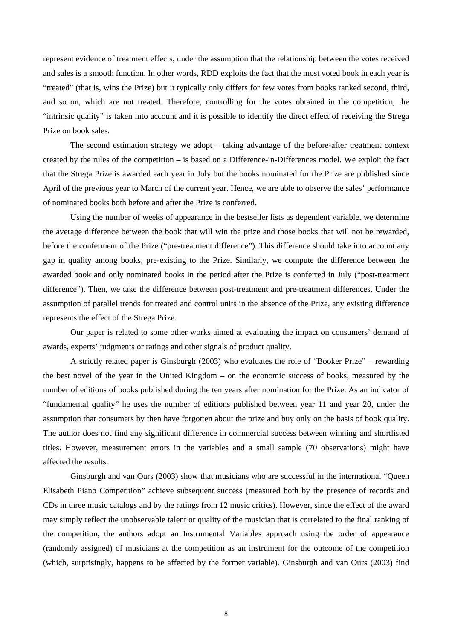represent evidence of treatment effects, under the assumption that the relationship between the votes received and sales is a smooth function. In other words, RDD exploits the fact that the most voted book in each year is "treated" (that is, wins the Prize) but it typically only differs for few votes from books ranked second, third, and so on, which are not treated. Therefore, controlling for the votes obtained in the competition, the "intrinsic quality" is taken into account and it is possible to identify the direct effect of receiving the Strega Prize on book sales.

The second estimation strategy we adopt – taking advantage of the before-after treatment context created by the rules of the competition – is based on a Difference-in-Differences model. We exploit the fact that the Strega Prize is awarded each year in July but the books nominated for the Prize are published since April of the previous year to March of the current year. Hence, we are able to observe the sales' performance of nominated books both before and after the Prize is conferred.

Using the number of weeks of appearance in the bestseller lists as dependent variable, we determine the average difference between the book that will win the prize and those books that will not be rewarded, before the conferment of the Prize ("pre-treatment difference"). This difference should take into account any gap in quality among books, pre-existing to the Prize. Similarly, we compute the difference between the awarded book and only nominated books in the period after the Prize is conferred in July ("post-treatment difference"). Then, we take the difference between post-treatment and pre-treatment differences. Under the assumption of parallel trends for treated and control units in the absence of the Prize, any existing difference represents the effect of the Strega Prize.

Our paper is related to some other works aimed at evaluating the impact on consumers' demand of awards, experts' judgments or ratings and other signals of product quality.

A strictly related paper is Ginsburgh (2003) who evaluates the role of "Booker Prize" – rewarding the best novel of the year in the United Kingdom – on the economic success of books, measured by the number of editions of books published during the ten years after nomination for the Prize. As an indicator of "fundamental quality" he uses the number of editions published between year 11 and year 20, under the assumption that consumers by then have forgotten about the prize and buy only on the basis of book quality. The author does not find any significant difference in commercial success between winning and shortlisted titles. However, measurement errors in the variables and a small sample (70 observations) might have affected the results.

Ginsburgh and van Ours (2003) show that musicians who are successful in the international "Queen Elisabeth Piano Competition" achieve subsequent success (measured both by the presence of records and CDs in three music catalogs and by the ratings from 12 music critics). However, since the effect of the award may simply reflect the unobservable talent or quality of the musician that is correlated to the final ranking of the competition, the authors adopt an Instrumental Variables approach using the order of appearance (randomly assigned) of musicians at the competition as an instrument for the outcome of the competition (which, surprisingly, happens to be affected by the former variable). Ginsburgh and van Ours (2003) find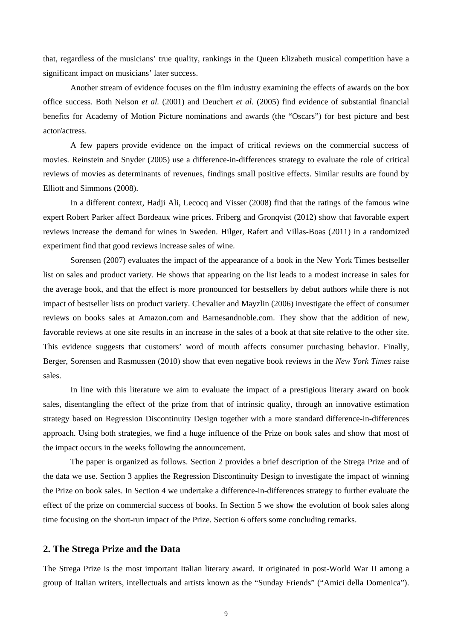that, regardless of the musicians' true quality, rankings in the Queen Elizabeth musical competition have a significant impact on musicians' later success.

Another stream of evidence focuses on the film industry examining the effects of awards on the box office success. Both Nelson *et al.* (2001) and Deuchert *et al.* (2005) find evidence of substantial financial benefits for Academy of Motion Picture nominations and awards (the "Oscars") for best picture and best actor/actress.

A few papers provide evidence on the impact of critical reviews on the commercial success of movies. Reinstein and Snyder (2005) use a difference-in-differences strategy to evaluate the role of critical reviews of movies as determinants of revenues, findings small positive effects. Similar results are found by Elliott and Simmons (2008).

In a different context, Hadji Ali, Lecocq and Visser (2008) find that the ratings of the famous wine expert Robert Parker affect Bordeaux wine prices. Friberg and Gronqvist (2012) show that favorable expert reviews increase the demand for wines in Sweden. Hilger, Rafert and Villas-Boas (2011) in a randomized experiment find that good reviews increase sales of wine.

Sorensen (2007) evaluates the impact of the appearance of a book in the New York Times bestseller list on sales and product variety. He shows that appearing on the list leads to a modest increase in sales for the average book, and that the effect is more pronounced for bestsellers by debut authors while there is not impact of bestseller lists on product variety. Chevalier and Mayzlin (2006) investigate the effect of consumer reviews on books sales at Amazon.com and Barnesandnoble.com. They show that the addition of new, favorable reviews at one site results in an increase in the sales of a book at that site relative to the other site. This evidence suggests that customers' word of mouth affects consumer purchasing behavior. Finally, Berger, Sorensen and Rasmussen (2010) show that even negative book reviews in the *New York Times* raise sales.

In line with this literature we aim to evaluate the impact of a prestigious literary award on book sales, disentangling the effect of the prize from that of intrinsic quality, through an innovative estimation strategy based on Regression Discontinuity Design together with a more standard difference-in-differences approach. Using both strategies, we find a huge influence of the Prize on book sales and show that most of the impact occurs in the weeks following the announcement.

The paper is organized as follows. Section 2 provides a brief description of the Strega Prize and of the data we use. Section 3 applies the Regression Discontinuity Design to investigate the impact of winning the Prize on book sales. In Section 4 we undertake a difference-in-differences strategy to further evaluate the effect of the prize on commercial success of books. In Section 5 we show the evolution of book sales along time focusing on the short-run impact of the Prize. Section 6 offers some concluding remarks.

## **2. The Strega Prize and the Data**

The Strega Prize is the most important Italian literary award. It originated in post-World War II among a group of Italian writers, intellectuals and artists known as the "Sunday Friends" ("Amici della Domenica").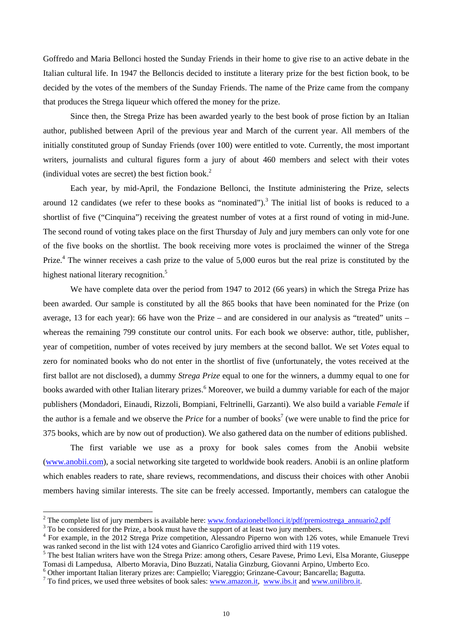Goffredo and Maria Bellonci hosted the Sunday Friends in their home to give rise to an active debate in the Italian cultural life. In 1947 the Belloncis decided to institute a literary prize for the best fiction book, to be decided by the votes of the members of the Sunday Friends. The name of the Prize came from the company that produces the Strega liqueur which offered the money for the prize.

Since then, the Strega Prize has been awarded yearly to the best book of prose fiction by an Italian author, published between April of the previous year and March of the current year. All members of the initially constituted group of Sunday Friends (over 100) were entitled to vote. Currently, the most important writers, journalists and cultural figures form a jury of about 460 members and select with their votes (individual votes are secret) the best fiction book.<sup>2</sup>

Each year, by mid-April, the Fondazione Bellonci, the Institute administering the Prize, selects around 12 candidates (we refer to these books as "nominated").<sup>3</sup> The initial list of books is reduced to a shortlist of five ("Cinquina") receiving the greatest number of votes at a first round of voting in mid-June. The second round of voting takes place on the first Thursday of July and jury members can only vote for one of the five books on the shortlist. The book receiving more votes is proclaimed the winner of the Strega Prize.<sup>4</sup> The winner receives a cash prize to the value of 5,000 euros but the real prize is constituted by the highest national literary recognition.<sup>5</sup>

We have complete data over the period from 1947 to 2012 (66 years) in which the Strega Prize has been awarded. Our sample is constituted by all the 865 books that have been nominated for the Prize (on average, 13 for each year): 66 have won the Prize – and are considered in our analysis as "treated" units – whereas the remaining 799 constitute our control units. For each book we observe: author, title, publisher, year of competition, number of votes received by jury members at the second ballot. We set *Votes* equal to zero for nominated books who do not enter in the shortlist of five (unfortunately, the votes received at the first ballot are not disclosed), a dummy *Strega Prize* equal to one for the winners, a dummy equal to one for books awarded with other Italian literary prizes.<sup>6</sup> Moreover, we build a dummy variable for each of the major publishers (Mondadori, Einaudi, Rizzoli, Bompiani, Feltrinelli, Garzanti). We also build a variable *Female* if the author is a female and we observe the *Price* for a number of books<sup>7</sup> (we were unable to find the price for 375 books, which are by now out of production). We also gathered data on the number of editions published.

The first variable we use as a proxy for book sales comes from the Anobii website (www.anobii.com), a social networking site targeted to worldwide book readers. Anobii is an online platform which enables readers to rate, share reviews, recommendations, and discuss their choices with other Anobii members having similar interests. The site can be freely accessed. Importantly, members can catalogue the

<sup>&</sup>lt;sup>2</sup> The complete list of jury members is available here: <u>www.fondazionebellonci.it/pdf/premiostrega\_annuario2.pdf</u> <sup>3</sup> To be concidered for the Prize, a book must have the support of at least two jury members

 $\frac{1}{3}$  To be considered for the Prize, a book must have the support of at least two jury members.

<sup>&</sup>lt;sup>4</sup> For example, in the 2012 Strega Prize competition, Alessandro Piperno won with 126 votes, while Emanuele Trevi was ranked second in the list with 124 votes and Gianrico Carofiglio arrived third with 119 votes.

<sup>&</sup>lt;sup>5</sup> The best Italian writers have won the Strega Prize: among others, Cesare Pavese, Primo Levi, Elsa Morante, Giuseppe Tomasi di Lampedusa, Alberto Moravia, Dino Buzzati, Natalia Ginzburg, Giovanni Arpino, Umberto Eco.

<sup>&</sup>lt;sup>6</sup> Other important Italian literary prizes are: Campiello; Viareggio; Grinzane-Cavour; Bancarella; Bagutta. <sup>7</sup> To find prices, we weak three websites of book select www.greeze it, www.jbs it and www.wailibre.it

 $\frac{7}{10}$  To find prices, we used three websites of book sales: www.amazon.it, www.ibs.it and www.unilibro.it.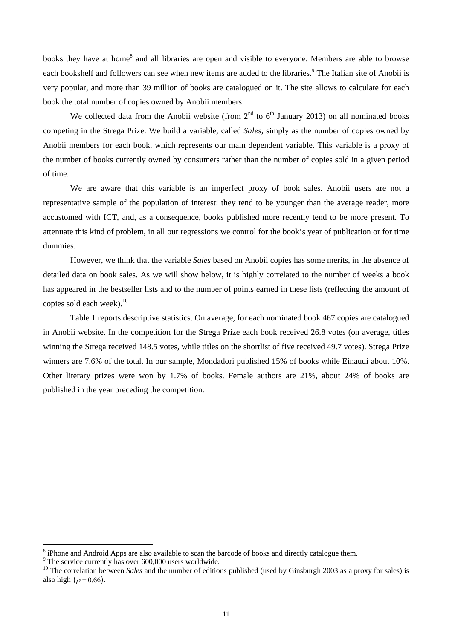books they have at home<sup>8</sup> and all libraries are open and visible to everyone. Members are able to browse each bookshelf and followers can see when new items are added to the libraries.<sup>9</sup> The Italian site of Anobii is very popular, and more than 39 million of books are catalogued on it. The site allows to calculate for each book the total number of copies owned by Anobii members.

We collected data from the Anobii website (from  $2<sup>nd</sup>$  to  $6<sup>th</sup>$  January 2013) on all nominated books competing in the Strega Prize. We build a variable, called *Sales*, simply as the number of copies owned by Anobii members for each book, which represents our main dependent variable. This variable is a proxy of the number of books currently owned by consumers rather than the number of copies sold in a given period of time.

We are aware that this variable is an imperfect proxy of book sales. Anobii users are not a representative sample of the population of interest: they tend to be younger than the average reader, more accustomed with ICT, and, as a consequence, books published more recently tend to be more present. To attenuate this kind of problem, in all our regressions we control for the book's year of publication or for time dummies.

However, we think that the variable *Sales* based on Anobii copies has some merits, in the absence of detailed data on book sales. As we will show below, it is highly correlated to the number of weeks a book has appeared in the bestseller lists and to the number of points earned in these lists (reflecting the amount of copies sold each week). $^{10}$ 

Table 1 reports descriptive statistics. On average, for each nominated book 467 copies are catalogued in Anobii website. In the competition for the Strega Prize each book received 26.8 votes (on average, titles winning the Strega received 148.5 votes, while titles on the shortlist of five received 49.7 votes). Strega Prize winners are 7.6% of the total. In our sample, Mondadori published 15% of books while Einaudi about 10%. Other literary prizes were won by 1.7% of books. Female authors are 21%, about 24% of books are published in the year preceding the competition.

<sup>&</sup>lt;sup>8</sup> iPhone and Android Apps are also available to scan the barcode of books and directly catalogue them.

<sup>&</sup>lt;sup>9</sup> The service currently has over 600,000 users worldwide.

<sup>&</sup>lt;sup>10</sup> The correlation between *Sales* and the number of editions published (used by Ginsburgh 2003 as a proxy for sales) is also high  $(\rho = 0.66)$ .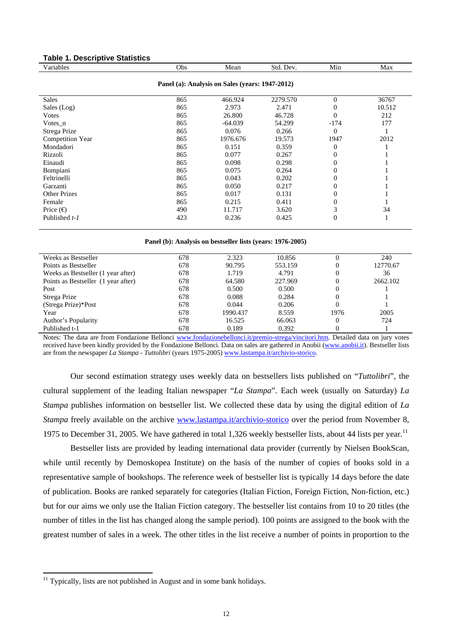### **Table 1. Descriptive Statistics**

| Variables                                       | Obs | Mean      | Std. Dev. | Min            | Max    |  |  |  |  |
|-------------------------------------------------|-----|-----------|-----------|----------------|--------|--|--|--|--|
| Panel (a): Analysis on Sales (years: 1947-2012) |     |           |           |                |        |  |  |  |  |
| <b>Sales</b>                                    | 865 | 466.924   | 2279.570  | $\Omega$       | 36767  |  |  |  |  |
| Sales (Log)                                     | 865 | 2.973     | 2.471     | $\Omega$       | 10.512 |  |  |  |  |
| Votes                                           | 865 | 26.800    | 46.728    | $\Omega$       | 212    |  |  |  |  |
| $Votes_n$                                       | 865 | $-64.039$ | 54.299    | $-174$         | 177    |  |  |  |  |
| Strega Prize                                    | 865 | 0.076     | 0.266     | $\Omega$       |        |  |  |  |  |
| Competition Year                                | 865 | 1976.676  | 19.573    | 1947           | 2012   |  |  |  |  |
| Mondadori                                       | 865 | 0.151     | 0.359     | $\Omega$       |        |  |  |  |  |
| Rizzoli                                         | 865 | 0.077     | 0.267     | $\Omega$       |        |  |  |  |  |
| Einaudi                                         | 865 | 0.098     | 0.298     | $\theta$       |        |  |  |  |  |
| Bompiani                                        | 865 | 0.075     | 0.264     | 0              |        |  |  |  |  |
| Feltrinelli                                     | 865 | 0.043     | 0.202     | 0              |        |  |  |  |  |
| Garzanti                                        | 865 | 0.050     | 0.217     | $\theta$       |        |  |  |  |  |
| <b>Other Prizes</b>                             | 865 | 0.017     | 0.131     | 0              |        |  |  |  |  |
| Female                                          | 865 | 0.215     | 0.411     | $\theta$       |        |  |  |  |  |
| Price $(\bigoplus$                              | 490 | 11.717    | 3.620     | 3              | 34     |  |  |  |  |
| Published t-1                                   | 423 | 0.236     | 0.425     | $\overline{0}$ |        |  |  |  |  |

#### **Panel (b): Analysis on bestseller lists (years: 1976-2005)**

| Weeks as Bestseller                 | 678 | 2.323    | 10.856  |      | 240      |
|-------------------------------------|-----|----------|---------|------|----------|
| Points as Bestseller                | 678 | 90.795   | 553.159 |      | 12770.67 |
| Weeks as Bestseller (1 year after)  | 678 | 1.719    | 4.791   | 0    | 36       |
| Points as Bestseller (1 year after) | 678 | 64.580   | 227.969 |      | 2662.102 |
| Post                                | 678 | 0.500    | 0.500   | 0    |          |
| Strega Prize                        | 678 | 0.088    | 0.284   |      |          |
| (Strega Prize)*Post                 | 678 | 0.044    | 0.206   | 0    |          |
| Year                                | 678 | 1990.437 | 8.559   | 1976 | 2005     |
| Author's Popularity                 | 678 | 16.525   | 66.063  | 0    | 724      |
| Published t-1                       | 678 | 0.189    | 0.392   | 0    |          |
|                                     |     |          |         |      |          |

Notes: The data are from Fondazione Bellonci www.fondazionebellonci.it/premio-strega/vincitori.htm. Detailed data on jury votes received have been kindly provided by the Fondazione Bellonci. Data on sales are gathered in Anobii (www.anobii.it). Bestseller lists are from the newspaper *La Stampa - Tuttolibri* (years 1975-2005) www.lastampa.it/archivio-storico.

Our second estimation strategy uses weekly data on bestsellers lists published on "*Tuttolibri*", the cultural supplement of the leading Italian newspaper "*La Stampa*". Each week (usually on Saturday) *La Stampa* publishes information on bestseller list. We collected these data by using the digital edition of *La Stampa* freely available on the archive www.lastampa.it/archivio-storico over the period from November 8, 1975 to December 31, 2005. We have gathered in total 1,326 weekly bestseller lists, about 44 lists per year.<sup>11</sup>

Bestseller lists are provided by leading international data provider (currently by Nielsen BookScan, while until recently by Demoskopea Institute) on the basis of the number of copies of books sold in a representative sample of bookshops. The reference week of bestseller list is typically 14 days before the date of publication. Books are ranked separately for categories (Italian Fiction, Foreign Fiction, Non-fiction, etc.) but for our aims we only use the Italian Fiction category. The bestseller list contains from 10 to 20 titles (the number of titles in the list has changed along the sample period). 100 points are assigned to the book with the greatest number of sales in a week. The other titles in the list receive a number of points in proportion to the

 $11$  Typically, lists are not published in August and in some bank holidays.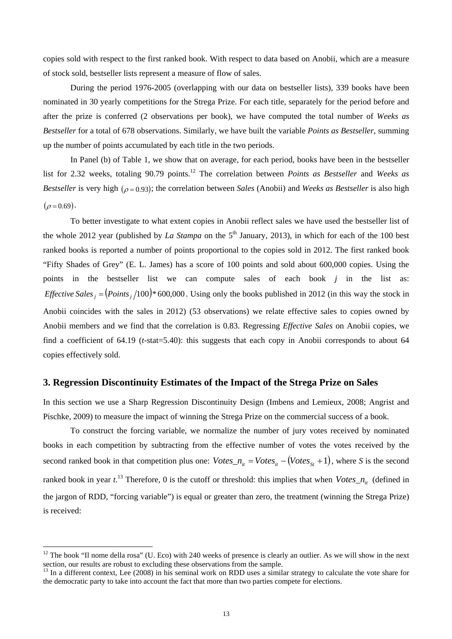copies sold with respect to the first ranked book. With respect to data based on Anobii, which are a measure of stock sold, bestseller lists represent a measure of flow of sales.

During the period 1976-2005 (overlapping with our data on bestseller lists), 339 books have been nominated in 30 yearly competitions for the Strega Prize. For each title, separately for the period before and after the prize is conferred (2 observations per book), we have computed the total number of *Weeks as Bestseller* for a total of 678 observations. Similarly, we have built the variable *Points as Bestseller*, summing up the number of points accumulated by each title in the two periods.

In Panel (b) of Table 1, we show that on average, for each period, books have been in the bestseller list for 2.32 weeks, totaling 90.79 points.12 The correlation between *Points as Bestseller* and *Weeks as Bestseller* is very high  $(\rho = 0.93)$ ; the correlation between *Sales* (Anobii) and *Weeks as Bestseller* is also high  $(\rho = 0.69)$ .

To better investigate to what extent copies in Anobii reflect sales we have used the bestseller list of the whole 2012 year (published by *La Stampa* on the  $5<sup>th</sup>$  January, 2013), in which for each of the 100 best ranked books is reported a number of points proportional to the copies sold in 2012. The first ranked book "Fifty Shades of Grey" (E. L. James) has a score of 100 points and sold about 600,000 copies. Using the points in the bestseller list we can compute sales of each book *j* in the list as: *Effective Sales*  $_i = (Points_i/100)*600,000$ . Using only the books published in 2012 (in this way the stock in Anobii coincides with the sales in 2012) (53 observations) we relate effective sales to copies owned by Anobii members and we find that the correlation is 0.83. Regressing *Effective Sales* on Anobii copies, we find a coefficient of 64.19 (*t*-stat=5.40): this suggests that each copy in Anobii corresponds to about 64 copies effectively sold.

#### **3. Regression Discontinuity Estimates of the Impact of the Strega Prize on Sales**

In this section we use a Sharp Regression Discontinuity Design (Imbens and Lemieux, 2008; Angrist and Pischke, 2009) to measure the impact of winning the Strega Prize on the commercial success of a book.

To construct the forcing variable, we normalize the number of jury votes received by nominated books in each competition by subtracting from the effective number of votes the votes received by the second ranked book in that competition plus one:  $Votes_{n} = Votes_{n} - (Votes_{s} + 1)$ , where *S* is the second ranked book in year  $t^{13}$ . Therefore, 0 is the cutoff or threshold: this implies that when  $Votes\_n_{it}$  (defined in the jargon of RDD, "forcing variable") is equal or greater than zero, the treatment (winning the Strega Prize) is received:

 $12$  The book "Il nome della rosa" (U. Eco) with 240 weeks of presence is clearly an outlier. As we will show in the next section, our results are robust to excluding these observations from the sample.<br><sup>13</sup> In a different context, Lee (2008) in his seminal work on RDD uses a similar strategy to calculate the vote share for

the democratic party to take into account the fact that more than two parties compete for elections.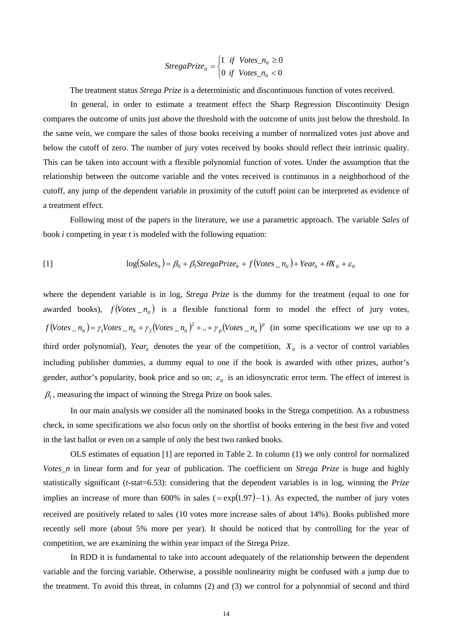$$
StregaPrice_{it} = \begin{cases} 1 & if \quad Votes\_n_{it} \ge 0 \\ 0 & if \quad Votes\_n_{it} < 0 \end{cases}
$$

The treatment status *Strega Prize* is a deterministic and discontinuous function of votes received.

In general, in order to estimate a treatment effect the Sharp Regression Discontinuity Design compares the outcome of units just above the threshold with the outcome of units just below the threshold. In the same vein, we compare the sales of those books receiving a number of normalized votes just above and below the cutoff of zero. The number of jury votes received by books should reflect their intrinsic quality. This can be taken into account with a flexible polynomial function of votes. Under the assumption that the relationship between the outcome variable and the votes received is continuous in a neighborhood of the cutoff, any jump of the dependent variable in proximity of the cutoff point can be interpreted as evidence of a treatment effect.

Following most of the papers in the literature, we use a parametric approach. The variable *Sales* of book *i* competing in year *t* is modeled with the following equation:

[1] 
$$
\log(Sales_{it}) = \beta_0 + \beta_1 \text{Strega} \text{Prize}_{it} + f(\text{Votes}_{it} - n_{it}) + \text{Year}_{it} + \theta X_{it} + \varepsilon_{it}
$$

where the dependent variable is in log, *Strega Prize* is the dummy for the treatment (equal to one for awarded books),  $f(Votes_n_i)$  is a flexible functional form to model the effect of jury votes,  $f(\text{Votes}_n n_{it}) = \gamma_1 \text{Votes}_n n_{it} + \gamma_2 (\text{Votes}_n n_{it})^2 + ... + \gamma_p (\text{Votes}_n n_{it})^p$  (in some specifications we use up to a third order polynomial), *Year<sub>it</sub>* denotes the year of the competition,  $X_{it}$  is a vector of control variables including publisher dummies, a dummy equal to one if the book is awarded with other prizes, author's gender, author's popularity, book price and so on;  $\varepsilon_{it}$  is an idiosyncratic error term. The effect of interest is  $\beta_1$ , measuring the impact of winning the Strega Prize on book sales.

In our main analysis we consider all the nominated books in the Strega competition. As a robustness check, in some specifications we also focus only on the shortlist of books entering in the best five and voted in the last ballot or even on a sample of only the best two ranked books.

OLS estimates of equation [1] are reported in Table 2. In column (1) we only control for normalized *Votes\_n* in linear form and for year of publication. The coefficient on *Strega Prize* is huge and highly statistically significant (*t*-stat=6.53): considering that the dependent variables is in log, winning the *Prize* implies an increase of more than 600% in sales ( $=\exp(1.97)-1$ ). As expected, the number of jury votes received are positively related to sales (10 votes more increase sales of about 14%). Books published more recently sell more (about 5% more per year). It should be noticed that by controlling for the year of competition, we are examining the within year impact of the Strega Prize.

In RDD it is fundamental to take into account adequately of the relationship between the dependent variable and the forcing variable. Otherwise, a possible nonlinearity might be confused with a jump due to the treatment. To avoid this threat, in columns (2) and (3) we control for a polynomial of second and third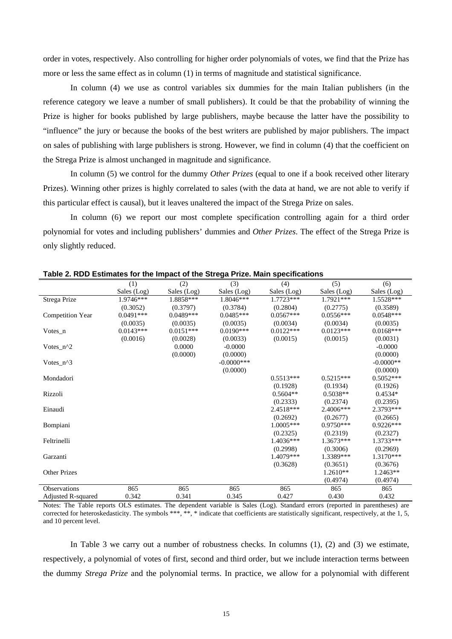order in votes, respectively. Also controlling for higher order polynomials of votes, we find that the Prize has more or less the same effect as in column (1) in terms of magnitude and statistical significance.

In column (4) we use as control variables six dummies for the main Italian publishers (in the reference category we leave a number of small publishers). It could be that the probability of winning the Prize is higher for books published by large publishers, maybe because the latter have the possibility to "influence" the jury or because the books of the best writers are published by major publishers. The impact on sales of publishing with large publishers is strong. However, we find in column (4) that the coefficient on the Strega Prize is almost unchanged in magnitude and significance.

In column (5) we control for the dummy *Other Prizes* (equal to one if a book received other literary Prizes). Winning other prizes is highly correlated to sales (with the data at hand, we are not able to verify if this particular effect is causal), but it leaves unaltered the impact of the Strega Prize on sales.

In column (6) we report our most complete specification controlling again for a third order polynomial for votes and including publishers' dummies and *Other Prizes*. The effect of the Strega Prize is only slightly reduced.

|                         | (1)         | (2)         | (3)           | (4)         | (5)         | (6)         |
|-------------------------|-------------|-------------|---------------|-------------|-------------|-------------|
|                         | Sales (Log) | Sales (Log) | Sales (Log)   | Sales (Log) | Sales (Log) | Sales (Log) |
| Strega Prize            | 1.9746***   | $1.8858***$ | $1.8046***$   | 1.7723***   | 1.7921***   | 1.5528***   |
|                         | (0.3052)    | (0.3797)    | (0.3784)      | (0.2804)    | (0.2775)    | (0.3589)    |
| <b>Competition Year</b> | $0.0491***$ | $0.0489***$ | $0.0485***$   | $0.0567***$ | $0.0556***$ | $0.0548***$ |
|                         | (0.0035)    | (0.0035)    | (0.0035)      | (0.0034)    | (0.0034)    | (0.0035)    |
| Votes n                 | $0.0143***$ | $0.0151***$ | $0.0190***$   | $0.0122***$ | $0.0123***$ | $0.0168***$ |
|                         | (0.0016)    | (0.0028)    | (0.0033)      | (0.0015)    | (0.0015)    | (0.0031)    |
| Votes $n^2$             |             | 0.0000      | $-0.0000$     |             |             | $-0.0000$   |
|                         |             | (0.0000)    | (0.0000)      |             |             | (0.0000)    |
| Votes $n^3$             |             |             | $-0.0000$ *** |             |             | $-0.0000**$ |
|                         |             |             | (0.0000)      |             |             | (0.0000)    |
| Mondadori               |             |             |               | $0.5513***$ | $0.5215***$ | $0.5052***$ |
|                         |             |             |               | (0.1928)    | (0.1934)    | (0.1926)    |
| Rizzoli                 |             |             |               | $0.5604**$  | $0.5038**$  | $0.4534*$   |
|                         |             |             |               | (0.2333)    | (0.2374)    | (0.2395)    |
| Einaudi                 |             |             |               | 2.4518***   | 2.4006***   | 2.3793 ***  |
|                         |             |             |               | (0.2692)    | (0.2677)    | (0.2665)    |
| <b>Bompiani</b>         |             |             |               | $1.0005***$ | $0.9750***$ | $0.9226***$ |
|                         |             |             |               | (0.2325)    | (0.2319)    | (0.2327)    |
| Feltrinelli             |             |             |               | $1.4036***$ | $1.3673***$ | 1.3733***   |
|                         |             |             |               | (0.2998)    | (0.3006)    | (0.2969)    |
| Garzanti                |             |             |               | 1.4079***   | 1.3389***   | $1.3170***$ |
|                         |             |             |               | (0.3628)    | (0.3651)    | (0.3676)    |
| <b>Other Prizes</b>     |             |             |               |             | $1.2610**$  | $1.2463**$  |
|                         |             |             |               |             | (0.4974)    | (0.4974)    |
| <b>Observations</b>     | 865         | 865         | 865           | 865         | 865         | 865         |
| Adjusted R-squared      | 0.342       | 0.341       | 0.345         | 0.427       | 0.430       | 0.432       |

**Table 2. RDD Estimates for the Impact of the Strega Prize. Main specifications** 

Notes: The Table reports OLS estimates. The dependent variable is Sales (Log). Standard errors (reported in parentheses) are corrected for heteroskedasticity. The symbols \*\*\*, \*\*, \* indicate that coefficients are statistically significant, respectively, at the 1, 5, and 10 percent level.

In Table 3 we carry out a number of robustness checks. In columns (1), (2) and (3) we estimate, respectively, a polynomial of votes of first, second and third order, but we include interaction terms between the dummy *Strega Prize* and the polynomial terms. In practice, we allow for a polynomial with different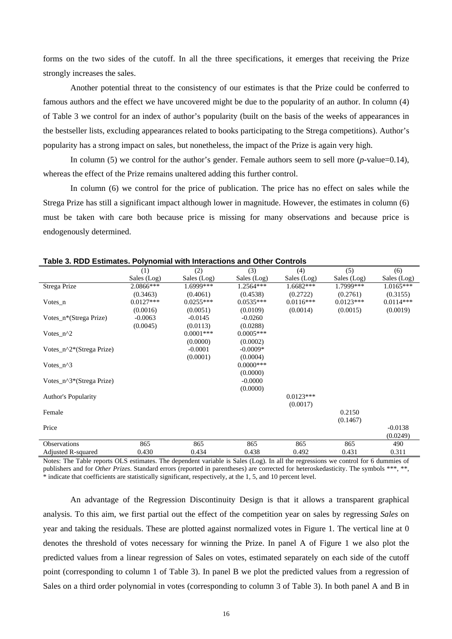forms on the two sides of the cutoff. In all the three specifications, it emerges that receiving the Prize strongly increases the sales.

Another potential threat to the consistency of our estimates is that the Prize could be conferred to famous authors and the effect we have uncovered might be due to the popularity of an author. In column (4) of Table 3 we control for an index of author's popularity (built on the basis of the weeks of appearances in the bestseller lists, excluding appearances related to books participating to the Strega competitions). Author's popularity has a strong impact on sales, but nonetheless, the impact of the Prize is again very high.

In column (5) we control for the author's gender. Female authors seem to sell more (*p*-value=0.14), whereas the effect of the Prize remains unaltered adding this further control.

In column (6) we control for the price of publication. The price has no effect on sales while the Strega Prize has still a significant impact although lower in magnitude. However, the estimates in column (6) must be taken with care both because price is missing for many observations and because price is endogenously determined.

| ימאוס ט. ולשט בטנווומנטט. ר טון ווטווומר זיונו ווונטומטנוטוס מווט טנווטר טטוונוטוס |             |              |              |             |             |             |
|------------------------------------------------------------------------------------|-------------|--------------|--------------|-------------|-------------|-------------|
|                                                                                    | (1)         | (2)          | (3)          | (4)         | (5)         | (6)         |
|                                                                                    | Sales (Log) | Sales (Log)  | Sales (Log)  | Sales (Log) | Sales (Log) | Sales (Log) |
| Strega Prize                                                                       | 2.0866***   | 1.6999***    | $1.2564***$  | $1.6682***$ | 1.7999***   | $1.0165***$ |
|                                                                                    | (0.3463)    | (0.4061)     | (0.4538)     | (0.2722)    | (0.2761)    | (0.3155)    |
| Votes $n$                                                                          | $0.0127***$ | $0.0255***$  | $0.0535***$  | $0.0116***$ | $0.0123***$ | $0.0114***$ |
|                                                                                    | (0.0016)    | (0.0051)     | (0.0109)     | (0.0014)    | (0.0015)    | (0.0019)    |
| Votes_n*(Strega Prize)                                                             | $-0.0063$   | $-0.0145$    | $-0.0260$    |             |             |             |
|                                                                                    | (0.0045)    | (0.0113)     | (0.0288)     |             |             |             |
| Votes $n^2$                                                                        |             | $0.0001$ *** | $0.0005***$  |             |             |             |
|                                                                                    |             | (0.0000)     | (0.0002)     |             |             |             |
| Votes_n^2*(Strega Prize)                                                           |             | $-0.0001$    | $-0.0009*$   |             |             |             |
|                                                                                    |             | (0.0001)     | (0.0004)     |             |             |             |
| Votes $n^3$                                                                        |             |              | $0.0000$ *** |             |             |             |
|                                                                                    |             |              | (0.0000)     |             |             |             |
| Votes_n^3*(Strega Prize)                                                           |             |              | $-0.0000$    |             |             |             |
|                                                                                    |             |              | (0.0000)     |             |             |             |
| <b>Author's Popularity</b>                                                         |             |              |              | $0.0123***$ |             |             |
|                                                                                    |             |              |              | (0.0017)    |             |             |
| Female                                                                             |             |              |              |             | 0.2150      |             |
|                                                                                    |             |              |              |             | (0.1467)    |             |
| Price                                                                              |             |              |              |             |             | $-0.0138$   |
|                                                                                    |             |              |              |             |             | (0.0249)    |
| <b>Observations</b>                                                                | 865         | 865          | 865          | 865         | 865         | 490         |
| Adjusted R-squared                                                                 | 0.430       | 0.434        | 0.438        | 0.492       | 0.431       | 0.311       |

| Table 3. RDD Estimates. Polynomial with Interactions and Other Controls |  |  |  |  |
|-------------------------------------------------------------------------|--|--|--|--|
|-------------------------------------------------------------------------|--|--|--|--|

Notes: The Table reports OLS estimates. The dependent variable is Sales (Log). In all the regressions we control for 6 dummies of publishers and for *Other Prizes*. Standard errors (reported in parentheses) are corrected for heteroskedasticity. The symbols \*\*\*, \*\*, \* indicate that coefficients are statistically significant, respectively, at the 1, 5, and 10 percent level.

An advantage of the Regression Discontinuity Design is that it allows a transparent graphical analysis. To this aim, we first partial out the effect of the competition year on sales by regressing *Sales* on year and taking the residuals. These are plotted against normalized votes in Figure 1. The vertical line at 0 denotes the threshold of votes necessary for winning the Prize. In panel A of Figure 1 we also plot the predicted values from a linear regression of Sales on votes, estimated separately on each side of the cutoff point (corresponding to column 1 of Table 3). In panel B we plot the predicted values from a regression of Sales on a third order polynomial in votes (corresponding to column 3 of Table 3). In both panel A and B in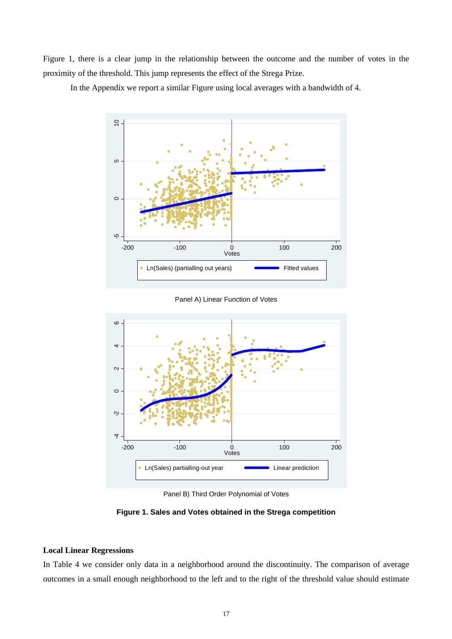Figure 1, there is a clear jump in the relationship between the outcome and the number of votes in the proximity of the threshold. This jump represents the effect of the Strega Prize.



In the Appendix we report a similar Figure using local averages with a bandwidth of 4.

Panel A) Linear Function of Votes



Panel B) Third Order Polynomial of Votes

**Figure 1. Sales and Votes obtained in the Strega competition** 

## **Local Linear Regressions**

In Table 4 we consider only data in a neighborhood around the discontinuity. The comparison of average outcomes in a small enough neighborhood to the left and to the right of the threshold value should estimate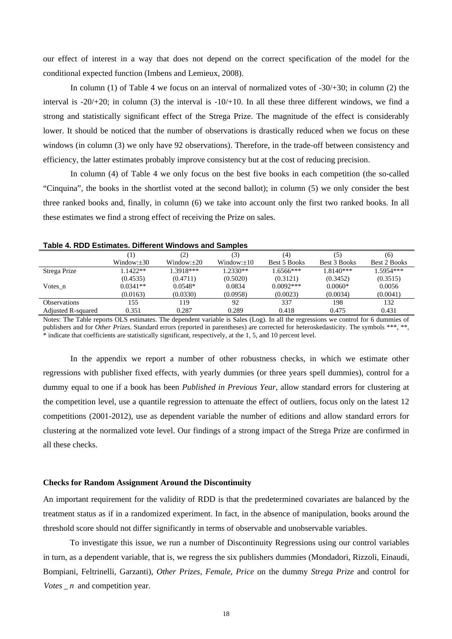our effect of interest in a way that does not depend on the correct specification of the model for the conditional expected function (Imbens and Lemieux, 2008).

In column (1) of Table 4 we focus on an interval of normalized votes of  $-30/+30$ ; in column (2) the interval is  $-20/+20$ ; in column (3) the interval is  $-10/+10$ . In all these three different windows, we find a strong and statistically significant effect of the Strega Prize. The magnitude of the effect is considerably lower. It should be noticed that the number of observations is drastically reduced when we focus on these windows (in column (3) we only have 92 observations). Therefore, in the trade-off between consistency and efficiency, the latter estimates probably improve consistency but at the cost of reducing precision.

In column (4) of Table 4 we only focus on the best five books in each competition (the so-called "Cinquina", the books in the shortlist voted at the second ballot); in column (5) we only consider the best three ranked books and, finally, in column (6) we take into account only the first two ranked books. In all these estimates we find a strong effect of receiving the Prize on sales.

|                           | 1.            | (2)           | (3)           | (4)          | (5)          | (6)                 |
|---------------------------|---------------|---------------|---------------|--------------|--------------|---------------------|
|                           | $Window: +30$ | $Window: +20$ | $Window: +10$ | Best 5 Books | Best 3 Books | <b>Best 2 Books</b> |
| Strega Prize              | $1.1422**$    | 1.3918***     | $1.2330**$    | $1.6566***$  | $1.8140***$  | $1.5954***$         |
|                           | (0.4535)      | (0.4711)      | (0.5020)      | (0.3121)     | (0.3452)     | (0.3515)            |
| Votes n                   | $0.0341**$    | $0.0548*$     | 0.0834        | $0.0092***$  | $0.0060*$    | 0.0056              |
|                           | (0.0163)      | (0.0330)      | (0.0958)      | (0.0023)     | (0.0034)     | (0.0041)            |
| <b>Observations</b>       | 155           | 119           | 92            | 337          | 198          | 132                 |
| <b>Adjusted R-squared</b> | 0.351         | 0.287         | 0.289         | 0.418        | 0.475        | 0.431               |

**Table 4. RDD Estimates. Different Windows and Samples** 

Notes: The Table reports OLS estimates. The dependent variable is Sales (Log). In all the regressions we control for 6 dummies of publishers and for *Other Prizes*. Standard errors (reported in parentheses) are corrected for heteroskedasticity. The symbols \*\*\*, \*\*, \* indicate that coefficients are statistically significant, respectively, at the 1, 5, and 10 percent level.

In the appendix we report a number of other robustness checks, in which we estimate other regressions with publisher fixed effects, with yearly dummies (or three years spell dummies), control for a dummy equal to one if a book has been *Published in Previous Year*, allow standard errors for clustering at the competition level, use a quantile regression to attenuate the effect of outliers, focus only on the latest 12 competitions (2001-2012), use as dependent variable the number of editions and allow standard errors for clustering at the normalized vote level. Our findings of a strong impact of the Strega Prize are confirmed in all these checks.

#### **Checks for Random Assignment Around the Discontinuity**

An important requirement for the validity of RDD is that the predetermined covariates are balanced by the treatment status as if in a randomized experiment. In fact, in the absence of manipulation, books around the threshold score should not differ significantly in terms of observable and unobservable variables.

To investigate this issue, we run a number of Discontinuity Regressions using our control variables in turn, as a dependent variable, that is, we regress the six publishers dummies (Mondadori, Rizzoli, Einaudi, Bompiani, Feltrinelli, Garzanti), *Other Prizes*, *Female*, *Price* on the dummy *Strega Prize* and control for *Votes*  $\mu$  and competition year.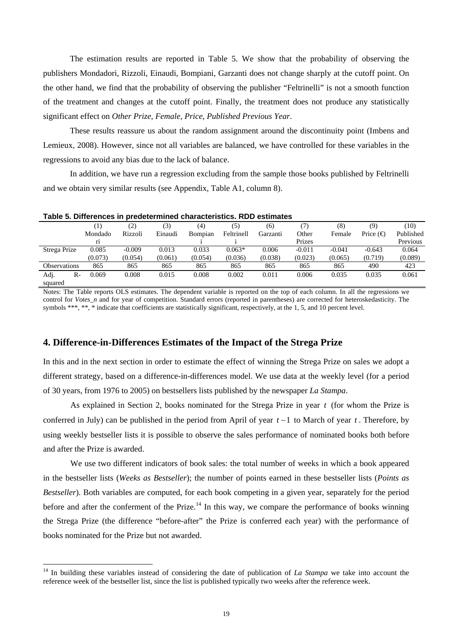The estimation results are reported in Table 5. We show that the probability of observing the publishers Mondadori, Rizzoli, Einaudi, Bompiani, Garzanti does not change sharply at the cutoff point. On the other hand, we find that the probability of observing the publisher "Feltrinelli" is not a smooth function of the treatment and changes at the cutoff point. Finally, the treatment does not produce any statistically significant effect on *Other Prize*, *Female*, *Price*, *Published Previous Year*.

These results reassure us about the random assignment around the discontinuity point (Imbens and Lemieux, 2008). However, since not all variables are balanced, we have controlled for these variables in the regressions to avoid any bias due to the lack of balance.

In addition, we have run a regression excluding from the sample those books published by Feltrinelli and we obtain very similar results (see Appendix, Table A1, column 8).

| Table 5. Differences in predetermined characteristics. RDD estimates |                  |          |         |         |            |          |          |          |                    |           |
|----------------------------------------------------------------------|------------------|----------|---------|---------|------------|----------|----------|----------|--------------------|-----------|
|                                                                      | $\left(1\right)$ | (2)      | (3)     | (4)     | (5)        | (6)      | (7)      | (8)      | (9)                | (10)      |
|                                                                      | Mondado          | Rizzoli  | Einaudi | Bompian | Feltrinell | Garzanti | Other    | Female   | Price $(\bigoplus$ | Published |
|                                                                      |                  |          |         |         |            |          | Prizes   |          |                    | Previous  |
| Strega Prize                                                         | 0.085            | $-0.009$ | 0.013   | 0.033   | $0.063*$   | 0.006    | $-0.011$ | $-0.041$ | $-0.643$           | 0.064     |
|                                                                      | (0.073)          | (0.054)  | (0.061) | (0.054) | (0.036)    | (0.038)  | (0.023)  | (0.065)  | (0.719)            | (0.089)   |
| <b>Observations</b>                                                  | 865              | 865      | 865     | 865     | 865        | 865      | 865      | 865      | 490                | 423       |
| Adj.<br>R-<br>squared                                                | 0.069            | 0.008    | 0.015   | 0.008   | 0.002      | 0.011    | 0.006    | 0.035    | 0.035              | 0.061     |

Notes: The Table reports OLS estimates. The dependent variable is reported on the top of each column. In all the regressions we control for *Votes\_n* and for year of competition. Standard errors (reported in parentheses) are corrected for heteroskedasticity. The symbols \*\*\*, \*\*, \* indicate that coefficients are statistically significant, respectively, at the 1, 5, and 10 percent level.

#### **4. Difference-in-Differences Estimates of the Impact of the Strega Prize**

In this and in the next section in order to estimate the effect of winning the Strega Prize on sales we adopt a different strategy, based on a difference-in-differences model. We use data at the weekly level (for a period of 30 years, from 1976 to 2005) on bestsellers lists published by the newspaper *La Stampa*.

As explained in Section 2, books nominated for the Strega Prize in year *t* (for whom the Prize is conferred in July) can be published in the period from April of year *t* −1 to March of year *t* . Therefore, by using weekly bestseller lists it is possible to observe the sales performance of nominated books both before and after the Prize is awarded.

We use two different indicators of book sales: the total number of weeks in which a book appeared in the bestseller lists (*Weeks as Bestseller*); the number of points earned in these bestseller lists (*Points as Bestseller*). Both variables are computed, for each book competing in a given year, separately for the period before and after the conferment of the Prize.<sup>14</sup> In this way, we compare the performance of books winning the Strega Prize (the difference "before-after" the Prize is conferred each year) with the performance of books nominated for the Prize but not awarded.

<sup>&</sup>lt;sup>14</sup> In building these variables instead of considering the date of publication of *La Stampa* we take into account the reference week of the bestseller list, since the list is published typically two weeks after the reference week.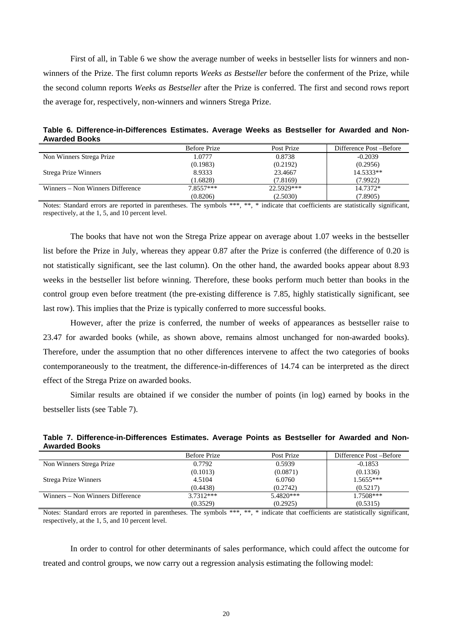First of all, in Table 6 we show the average number of weeks in bestseller lists for winners and nonwinners of the Prize. The first column reports *Weeks as Bestseller* before the conferment of the Prize, while the second column reports *Weeks as Bestseller* after the Prize is conferred. The first and second rows report the average for, respectively, non-winners and winners Strega Prize.

**Table 6. Difference-in-Differences Estimates. Average Weeks as Bestseller for Awarded and Non-Awarded Books** 

|                                  | <b>Before Prize</b> | Post Prize | Difference Post – Before |
|----------------------------------|---------------------|------------|--------------------------|
| Non Winners Strega Prize         | 1.0777              | 0.8738     | $-0.2039$                |
|                                  | (0.1983)            | (0.2192)   | (0.2956)                 |
| Strega Prize Winners             | 8.9333              | 23.4667    | 14.5333**                |
|                                  | (1.6828)            | (7.8169)   | (7.9922)                 |
| Winners – Non Winners Difference | $7.8557***$         | 22.5929*** | 14.7372*                 |
|                                  | (0.8206)            | (2.5030)   | (7.8905)                 |

Notes: Standard errors are reported in parentheses. The symbols \*\*\*, \*\*, \* indicate that coefficients are statistically significant, respectively, at the 1, 5, and 10 percent level.

The books that have not won the Strega Prize appear on average about 1.07 weeks in the bestseller list before the Prize in July, whereas they appear 0.87 after the Prize is conferred (the difference of 0.20 is not statistically significant, see the last column). On the other hand, the awarded books appear about 8.93 weeks in the bestseller list before winning. Therefore, these books perform much better than books in the control group even before treatment (the pre-existing difference is 7.85, highly statistically significant, see last row). This implies that the Prize is typically conferred to more successful books.

However, after the prize is conferred, the number of weeks of appearances as bestseller raise to 23.47 for awarded books (while, as shown above, remains almost unchanged for non-awarded books). Therefore, under the assumption that no other differences intervene to affect the two categories of books contemporaneously to the treatment, the difference-in-differences of 14.74 can be interpreted as the direct effect of the Strega Prize on awarded books.

Similar results are obtained if we consider the number of points (in log) earned by books in the bestseller lists (see Table 7).

| <b>Awarded Books</b>     |              |            |                          |
|--------------------------|--------------|------------|--------------------------|
|                          | Before Prize | Post Prize | Difference Post – Before |
| Non Winners Strega Prize | 0.7792       | 0.5939     | $-0.1853$                |
|                          | (0.1013)     | (0.0871)   | (0.1336)                 |
| Strega Prize Winners     | 4.5104       | 6.0760     | $1.5655***$              |
|                          | (0.4438)     | (0.2742)   | (0.5217)                 |

**Table 7. Difference-in-Differences Estimates. Average Points as Bestseller for Awarded and Non-Awarded Books** 

Notes: Standard errors are reported in parentheses. The symbols \*\*\*, \*\*, \* indicate that coefficients are statistically significant, respectively, at the 1, 5, and 10 percent level.

5.4820\*\*\*  $(0.2925)$ 

1.7508\*\*\* (0.5315)

(0.3529)

Winners – Non Winners Difference 3.7312\*\*\*

In order to control for other determinants of sales performance, which could affect the outcome for treated and control groups, we now carry out a regression analysis estimating the following model: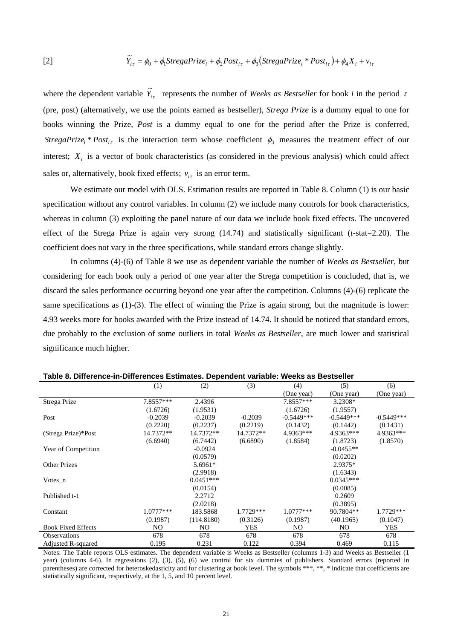[2] 
$$
\widetilde{Y}_{i\tau} = \phi_0 + \phi_1 \text{StregaPrize}_i + \phi_2 \text{Post}_{i\tau} + \phi_3 (\text{StregaPrize}_i * \text{Post}_{i\tau}) + \phi_4 X_i + v_{i\tau}
$$

where the dependent variable  $\tilde{Y}_{i\tau}$  represents the number of *Weeks as Bestseller* for book *i* in the period  $\tau$ (pre, post) (alternatively, we use the points earned as bestseller), *Strega Prize* is a dummy equal to one for books winning the Prize, *Post* is a dummy equal to one for the period after the Prize is conferred, *StregaPrize* \*  $Post_{i\tau}$  is the interaction term whose coefficient  $\phi_3$  measures the treatment effect of our interest;  $X_i$  is a vector of book characteristics (as considered in the previous analysis) which could affect sales or, alternatively, book fixed effects;  $v_{i\tau}$  is an error term.

We estimate our model with OLS. Estimation results are reported in Table 8. Column (1) is our basic specification without any control variables. In column (2) we include many controls for book characteristics, whereas in column (3) exploiting the panel nature of our data we include book fixed effects. The uncovered effect of the Strega Prize is again very strong (14.74) and statistically significant (*t*-stat=2.20). The coefficient does not vary in the three specifications, while standard errors change slightly.

In columns (4)-(6) of Table 8 we use as dependent variable the number of *Weeks as Bestseller*, but considering for each book only a period of one year after the Strega competition is concluded, that is, we discard the sales performance occurring beyond one year after the competition. Columns (4)-(6) replicate the same specifications as (1)-(3). The effect of winning the Prize is again strong, but the magnitude is lower: 4.93 weeks more for books awarded with the Prize instead of 14.74. It should be noticed that standard errors, due probably to the exclusion of some outliers in total *Weeks as Bestseller*, are much lower and statistical significance much higher.

|                           | (1)         | (2)         | (3)        | (4)          | (5)          | (6)          |
|---------------------------|-------------|-------------|------------|--------------|--------------|--------------|
|                           |             |             |            | (One year)   | (One year)   | (One year)   |
| Strega Prize              | 7.8557***   | 2.4396      |            | 7.8557***    | 3.2308*      |              |
|                           | (1.6726)    | (1.9531)    |            | (1.6726)     | (1.9557)     |              |
| Post                      | $-0.2039$   | $-0.2039$   | $-0.2039$  | $-0.5449***$ | $-0.5449***$ | $-0.5449***$ |
|                           | (0.2220)    | (0.2237)    | (0.2219)   | (0.1432)     | (0.1442)     | (0.1431)     |
| (Strega Prize)*Post       | 14.7372**   | 14.7372**   | 14.7372**  | 4.9363***    | 4.9363***    | 4.9363***    |
|                           | (6.6940)    | (6.7442)    | (6.6890)   | (1.8584)     | (1.8723)     | (1.8570)     |
| Year of Competition       |             | $-0.0924$   |            |              | $-0.0455**$  |              |
|                           |             | (0.0579)    |            |              | (0.0202)     |              |
| <b>Other Prizes</b>       |             | 5.6961*     |            |              | 2.9375*      |              |
|                           |             | (2.9918)    |            |              | (1.6343)     |              |
| Votes $n$                 |             | $0.0451***$ |            |              | $0.0345***$  |              |
|                           |             | (0.0154)    |            |              | (0.0085)     |              |
| Published t-1             |             | 2.2712      |            |              | 0.2609       |              |
|                           |             | (2.0218)    |            |              | (0.3895)     |              |
| Constant                  | $1.0777***$ | 183.5868    | 1.7729***  | $1.0777***$  | 90.7804**    | 1.7729***    |
|                           | (0.1987)    | (114.8180)  | (0.3126)   | (0.1987)     | (40.1965)    | (0.1047)     |
| <b>Book Fixed Effects</b> | NO.         | NO.         | <b>YES</b> | NO.          | NO.          | <b>YES</b>   |
| <b>Observations</b>       | 678         | 678         | 678        | 678          | 678          | 678          |
| Adjusted R-squared        | 0.195       | 0.231       | 0.122      | 0.394        | 0.469        | 0.115        |

**Table 8. Difference-in-Differences Estimates. Dependent variable: Weeks as Bestseller** 

Notes: The Table reports OLS estimates. The dependent variable is Weeks as Bestseller (columns 1-3) and Weeks as Bestseller (1 year) (columns 4-6). In regressions (2), (3), (5), (6) we control for six dummies of publishers. Standard errors (reported in parentheses) are corrected for heteroskedasticity and for clustering at book level. The symbols \*\*\*, \*\*, \* indicate that coefficients are statistically significant, respectively, at the 1, 5, and 10 percent level.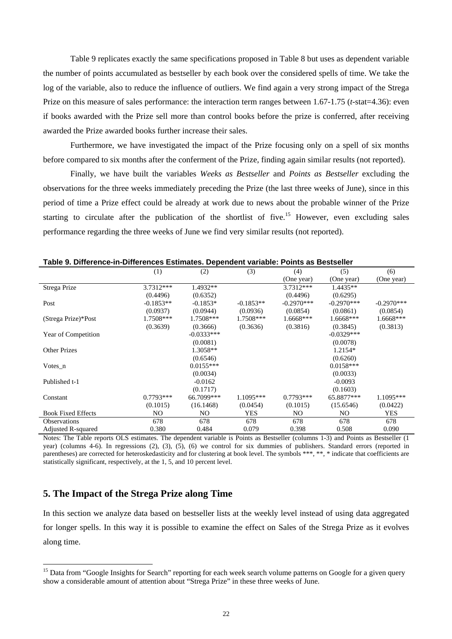Table 9 replicates exactly the same specifications proposed in Table 8 but uses as dependent variable the number of points accumulated as bestseller by each book over the considered spells of time. We take the log of the variable, also to reduce the influence of outliers. We find again a very strong impact of the Strega Prize on this measure of sales performance: the interaction term ranges between 1.67-1.75 (*t*-stat=4.36): even if books awarded with the Prize sell more than control books before the prize is conferred, after receiving awarded the Prize awarded books further increase their sales.

Furthermore, we have investigated the impact of the Prize focusing only on a spell of six months before compared to six months after the conferment of the Prize, finding again similar results (not reported).

Finally, we have built the variables *Weeks as Bestseller* and *Points as Bestseller* excluding the observations for the three weeks immediately preceding the Prize (the last three weeks of June), since in this period of time a Prize effect could be already at work due to news about the probable winner of the Prize starting to circulate after the publication of the shortlist of five.<sup>15</sup> However, even excluding sales performance regarding the three weeks of June we find very similar results (not reported).

|                           | (1)         | (2)          | (3)         | (4)          | (5)            | (6)          |
|---------------------------|-------------|--------------|-------------|--------------|----------------|--------------|
|                           |             |              |             | (One year)   | (One year)     | (One year)   |
| Strega Prize              | 3.7312***   | 1.4932**     |             | 3.7312***    | 1.4435**       |              |
|                           | (0.4496)    | (0.6352)     |             | (0.4496)     | (0.6295)       |              |
| Post                      | $-0.1853**$ | $-0.1853*$   | $-0.1853**$ | $-0.2970***$ | $-0.2970***$   | $-0.2970***$ |
|                           | (0.0937)    | (0.0944)     | (0.0936)    | (0.0854)     | (0.0861)       | (0.0854)     |
| (Strega Prize)*Post       | $1.7508***$ | 1.7508***    | 1.7508***   | $1.6668***$  | 1.6668***      | 1.6668***    |
|                           | (0.3639)    | (0.3666)     | (0.3636)    | (0.3816)     | (0.3845)       | (0.3813)     |
| Year of Competition       |             | $-0.0333***$ |             |              | $-0.0329***$   |              |
|                           |             | (0.0081)     |             |              | (0.0078)       |              |
| <b>Other Prizes</b>       |             | 1.3058**     |             |              | 1.2154*        |              |
|                           |             | (0.6546)     |             |              | (0.6260)       |              |
| Votes $n$                 |             | $0.0155***$  |             |              | $0.0158***$    |              |
|                           |             | (0.0034)     |             |              | (0.0033)       |              |
| Published t-1             |             | $-0.0162$    |             |              | $-0.0093$      |              |
|                           |             | (0.1717)     |             |              | (0.1603)       |              |
| Constant                  | $0.7793***$ | 66.7099***   | $1.1095***$ | $0.7793***$  | 65.8877***     | $1.1095***$  |
|                           | (0.1015)    | (16.1468)    | (0.0454)    | (0.1015)     | (15.6546)      | (0.0422)     |
| <b>Book Fixed Effects</b> | NO          | NO.          | <b>YES</b>  | NO.          | N <sub>O</sub> | <b>YES</b>   |
| <b>Observations</b>       | 678         | 678          | 678         | 678          | 678            | 678          |
| <b>Adjusted R-squared</b> | 0.380       | 0.484        | 0.079       | 0.398        | 0.508          | 0.090        |

**Table 9. Difference-in-Differences Estimates. Dependent variable: Points as Bestseller** 

Notes: The Table reports OLS estimates. The dependent variable is Points as Bestseller (columns 1-3) and Points as Bestseller (1 year) (columns 4-6). In regressions (2), (3), (5), (6) we control for six dummies of publishers. Standard errors (reported in parentheses) are corrected for heteroskedasticity and for clustering at book level. The symbols \*\*\*, \*\*, \* indicate that coefficients are statistically significant, respectively, at the 1, 5, and 10 percent level.

## **5. The Impact of the Strega Prize along Time**

In this section we analyze data based on bestseller lists at the weekly level instead of using data aggregated for longer spells. In this way it is possible to examine the effect on Sales of the Strega Prize as it evolves along time.

<sup>&</sup>lt;sup>15</sup> Data from "Google Insights for Search" reporting for each week search volume patterns on Google for a given query show a considerable amount of attention about "Strega Prize" in these three weeks of June.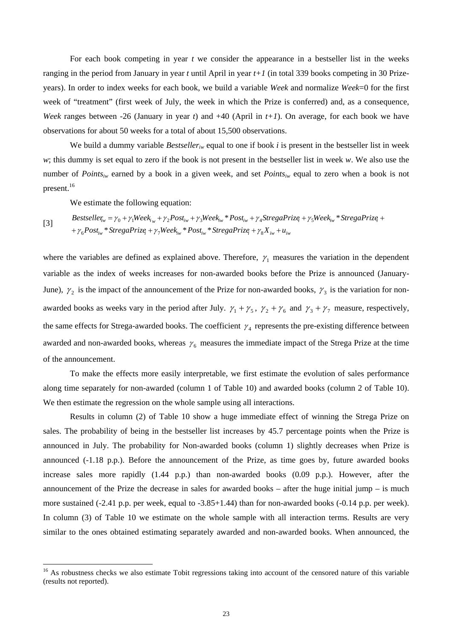For each book competing in year *t* we consider the appearance in a bestseller list in the weeks ranging in the period from January in year *t* until April in year *t+1* (in total 339 books competing in 30 Prizeyears). In order to index weeks for each book, we build a variable *Week* and normalize *Week*=0 for the first week of "treatment" (first week of July, the week in which the Prize is conferred) and, as a consequence, *Week* ranges between -26 (January in year *t*) and +40 (April in *t+1*). On average, for each book we have observations for about 50 weeks for a total of about 15,500 observations.

We build a dummy variable *Bestseller<sub>iw</sub>* equal to one if book *i* is present in the bestseller list in week *w*; this dummy is set equal to zero if the book is not present in the bestseller list in week *w*. We also use the number of *Pointsiw* earned by a book in a given week, and set *Pointsiw* equal to zero when a book is not present.<sup>16</sup>

We estimate the following equation:

$$
Best seller_w = \gamma_0 + \gamma_1 Week_{iw} + \gamma_2 Post_{iw} + \gamma_3 Week_{iw} * Post_{iw} + \gamma_4 Street_{iw} + \gamma_5 Week_{iw} * Street_{iw} * Street_{iw} * \text{StregaPrize} + \gamma_6 Post_{iw} * Street_{iw} * \text{StregaPrize} + \gamma_7 Week_{iw} * Post_{iw} * Bost_{iw} * Street_{iw} * \text{StregaPrize} + \gamma_8 X_{iw} + u_{iw}
$$

where the variables are defined as explained above. Therefore,  $\gamma_1$  measures the variation in the dependent variable as the index of weeks increases for non-awarded books before the Prize is announced (January-June),  $\gamma_2$  is the impact of the announcement of the Prize for non-awarded books,  $\gamma_3$  is the variation for nonawarded books as weeks vary in the period after July.  $\gamma_1 + \gamma_5$ ,  $\gamma_2 + \gamma_6$  and  $\gamma_3 + \gamma_7$  measure, respectively, the same effects for Strega-awarded books. The coefficient  $\gamma_4$  represents the pre-existing difference between awarded and non-awarded books, whereas  $\gamma_6$  measures the immediate impact of the Strega Prize at the time of the announcement.

To make the effects more easily interpretable, we first estimate the evolution of sales performance along time separately for non-awarded (column 1 of Table 10) and awarded books (column 2 of Table 10). We then estimate the regression on the whole sample using all interactions.

Results in column (2) of Table 10 show a huge immediate effect of winning the Strega Prize on sales. The probability of being in the bestseller list increases by 45.7 percentage points when the Prize is announced in July. The probability for Non-awarded books (column 1) slightly decreases when Prize is announced (-1.18 p.p.). Before the announcement of the Prize, as time goes by, future awarded books increase sales more rapidly (1.44 p.p.) than non-awarded books (0.09 p.p.). However, after the announcement of the Prize the decrease in sales for awarded books – after the huge initial jump – is much more sustained (-2.41 p.p. per week, equal to -3.85+1.44) than for non-awarded books (-0.14 p.p. per week). In column (3) of Table 10 we estimate on the whole sample with all interaction terms. Results are very similar to the ones obtained estimating separately awarded and non-awarded books. When announced, the

<sup>&</sup>lt;sup>16</sup> As robustness checks we also estimate Tobit regressions taking into account of the censored nature of this variable (results not reported).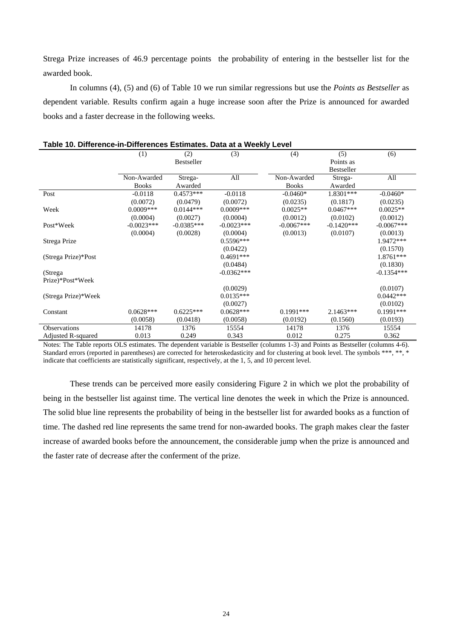Strega Prize increases of 46.9 percentage points the probability of entering in the bestseller list for the awarded book.

In columns (4), (5) and (6) of Table 10 we run similar regressions but use the *Points as Bestseller* as dependent variable. Results confirm again a huge increase soon after the Prize is announced for awarded books and a faster decrease in the following weeks.

|                     |              |                   | <b>Data at a freemy Ector</b> |                          |                   |              |
|---------------------|--------------|-------------------|-------------------------------|--------------------------|-------------------|--------------|
|                     | (1)          | (2)               | (3)                           | (4)                      | (5)               | (6)          |
|                     |              | <b>Bestseller</b> |                               |                          | Points as         |              |
|                     |              |                   |                               |                          | <b>Bestseller</b> |              |
|                     | Non-Awarded  | Strega-           | All                           | Non-Awarded              | Strega-           | All          |
|                     | <b>Books</b> | Awarded           |                               | <b>Books</b>             | Awarded           |              |
| Post                | $-0.0118$    | $0.4573***$       | $-0.0118$                     | $-0.0460*$               | 1.8301***         | $-0.0460*$   |
|                     | (0.0072)     | (0.0479)          | (0.0072)                      | (0.0235)                 | (0.1817)          | (0.0235)     |
| Week                | $0.0009***$  | $0.0144***$       | $0.0009***$                   | $0.0025**$               | $0.0467***$       | $0.0025**$   |
|                     | (0.0004)     | (0.0027)          | (0.0004)                      | (0.0012)                 | (0.0102)          | (0.0012)     |
| Post*Week           | $-0.0023***$ | $-0.0385***$      | $-0.0023***$                  | $-0.0067***$             | $-0.1420***$      | $-0.0067***$ |
|                     | (0.0004)     | (0.0028)          | (0.0004)                      | (0.0013)                 | (0.0107)          | (0.0013)     |
| Strega Prize        |              |                   | $0.5596***$                   |                          |                   | 1.9472***    |
|                     |              |                   | (0.0422)                      |                          |                   | (0.1570)     |
| (Strega Prize)*Post |              |                   | $0.4691***$                   |                          |                   | 1.8761***    |
|                     |              |                   | (0.0484)                      |                          |                   | (0.1830)     |
| (Strega             |              |                   | $-0.0362***$                  |                          |                   | $-0.1354***$ |
| Prize)*Post*Week    |              |                   |                               |                          |                   |              |
|                     |              |                   | (0.0029)                      |                          |                   | (0.0107)     |
| (Strega Prize)*Week |              |                   | $0.0135***$                   |                          |                   | $0.0442***$  |
|                     |              |                   | (0.0027)                      |                          |                   | (0.0102)     |
| Constant            | $0.0628***$  | $0.6225***$       | $0.0628***$                   | $0.1991***$              | $2.1463***$       | $0.1991***$  |
|                     | (0.0058)     | (0.0418)          | (0.0058)                      | (0.0192)                 | (0.1560)          | (0.0193)     |
| Observations        | 14178        | 1376              | 15554                         | 14178                    | 1376              | 15554        |
| Adjusted R-squared  | 0.013        | 0.249             | 0.343                         | 0.012                    | 0.275             | 0.362        |
| $T = T$             |              |                   | .                             | $\mathbf{r}$ .<br>$\sim$ |                   |              |

#### **Table 10. Difference-in-Differences Estimates. Data at a Weekly Level**

Notes: The Table reports OLS estimates. The dependent variable is Bestseller (columns 1-3) and Points as Bestseller (columns 4-6). Standard errors (reported in parentheses) are corrected for heteroskedasticity and for clustering at book level. The symbols \*\*\*, \*\*, \* indicate that coefficients are statistically significant, respectively, at the 1, 5, and 10 percent level.

These trends can be perceived more easily considering Figure 2 in which we plot the probability of being in the bestseller list against time. The vertical line denotes the week in which the Prize is announced. The solid blue line represents the probability of being in the bestseller list for awarded books as a function of time. The dashed red line represents the same trend for non-awarded books. The graph makes clear the faster increase of awarded books before the announcement, the considerable jump when the prize is announced and the faster rate of decrease after the conferment of the prize.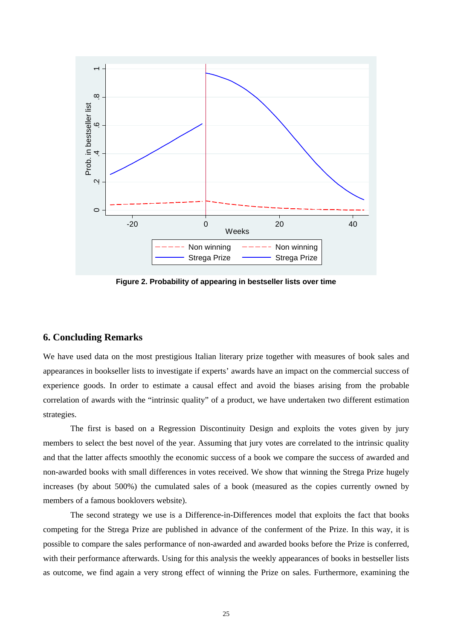

 **Figure 2. Probability of appearing in bestseller lists over time** 

## **6. Concluding Remarks**

We have used data on the most prestigious Italian literary prize together with measures of book sales and appearances in bookseller lists to investigate if experts' awards have an impact on the commercial success of experience goods. In order to estimate a causal effect and avoid the biases arising from the probable correlation of awards with the "intrinsic quality" of a product, we have undertaken two different estimation strategies.

The first is based on a Regression Discontinuity Design and exploits the votes given by jury members to select the best novel of the year. Assuming that jury votes are correlated to the intrinsic quality and that the latter affects smoothly the economic success of a book we compare the success of awarded and non-awarded books with small differences in votes received. We show that winning the Strega Prize hugely increases (by about 500%) the cumulated sales of a book (measured as the copies currently owned by members of a famous booklovers website).

The second strategy we use is a Difference-in-Differences model that exploits the fact that books competing for the Strega Prize are published in advance of the conferment of the Prize. In this way, it is possible to compare the sales performance of non-awarded and awarded books before the Prize is conferred, with their performance afterwards. Using for this analysis the weekly appearances of books in bestseller lists as outcome, we find again a very strong effect of winning the Prize on sales. Furthermore, examining the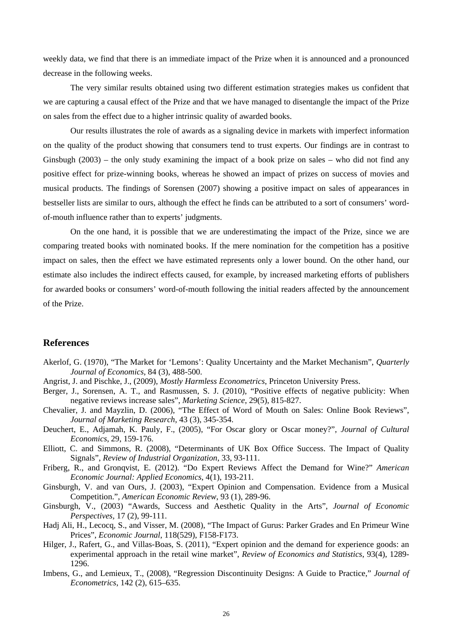weekly data, we find that there is an immediate impact of the Prize when it is announced and a pronounced decrease in the following weeks.

The very similar results obtained using two different estimation strategies makes us confident that we are capturing a causal effect of the Prize and that we have managed to disentangle the impact of the Prize on sales from the effect due to a higher intrinsic quality of awarded books.

Our results illustrates the role of awards as a signaling device in markets with imperfect information on the quality of the product showing that consumers tend to trust experts. Our findings are in contrast to Ginsbugh (2003) – the only study examining the impact of a book prize on sales – who did not find any positive effect for prize-winning books, whereas he showed an impact of prizes on success of movies and musical products. The findings of Sorensen (2007) showing a positive impact on sales of appearances in bestseller lists are similar to ours, although the effect he finds can be attributed to a sort of consumers' wordof-mouth influence rather than to experts' judgments.

On the one hand, it is possible that we are underestimating the impact of the Prize, since we are comparing treated books with nominated books. If the mere nomination for the competition has a positive impact on sales, then the effect we have estimated represents only a lower bound. On the other hand, our estimate also includes the indirect effects caused, for example, by increased marketing efforts of publishers for awarded books or consumers' word-of-mouth following the initial readers affected by the announcement of the Prize.

## **References**

- Akerlof, G. (1970), "The Market for 'Lemons': Quality Uncertainty and the Market Mechanism", *Quarterly Journal of Economics*, 84 (3), 488-500.
- Angrist, J. and Pischke, J., (2009), *Mostly Harmless Econometrics*, Princeton University Press.
- Berger, J., Sorensen, A. T., and Rasmussen, S. J. (2010), "Positive effects of negative publicity: When negative reviews increase sales", *Marketing Science*, 29(5), 815-827.
- Chevalier, J. and Mayzlin, D. (2006), "The Effect of Word of Mouth on Sales: Online Book Reviews", *Journal of Marketing Research*, 43 (3), 345-354.
- Deuchert, E., Adjamah, K. Pauly, F., (2005), "For Oscar glory or Oscar money?", *Journal of Cultural Economics*, 29, 159-176.
- Elliott, C. and Simmons, R. (2008), "Determinants of UK Box Office Success. The Impact of Quality Signals", *Review of Industrial Organization*, 33, 93-111.
- Friberg, R., and Gronqvist, E. (2012). "Do Expert Reviews Affect the Demand for Wine?" *American Economic Journal: Applied Economics*, 4(1), 193-211.
- Ginsburgh, V. and van Ours, J. (2003), "Expert Opinion and Compensation. Evidence from a Musical Competition.", *American Economic Review*, 93 (1), 289-96.
- Ginsburgh, V., (2003) "Awards, Success and Aesthetic Quality in the Arts", *Journal of Economic Perspectives,* 17 (2), 99-111.
- Hadj Ali, H., Lecocq, S., and Visser, M. (2008), "The Impact of Gurus: Parker Grades and En Primeur Wine Prices", *Economic Journal*, 118(529), F158-F173.
- Hilger, J., Rafert, G., and Villas-Boas, S. (2011), "Expert opinion and the demand for experience goods: an experimental approach in the retail wine market", *Review of Economics and Statistics*, 93(4), 1289- 1296.
- Imbens, G., and Lemieux, T., (2008), "Regression Discontinuity Designs: A Guide to Practice," *Journal of Econometrics*, 142 (2), 615–635.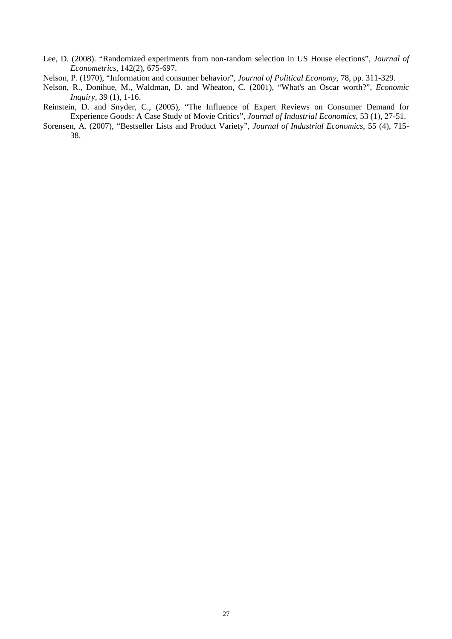- Lee, D. (2008). "Randomized experiments from non-random selection in US House elections", *Journal of Econometrics*, 142(2), 675-697.
- Nelson, P. (1970), "Information and consumer behavior", *Journal of Political Economy*, 78, pp. 311-329.
- Nelson, R., Donihue, M., Waldman, D. and Wheaton, C. (2001), "What's an Oscar worth?", *Economic Inquiry*, 39 (1), 1-16.
- Reinstein, D. and Snyder, C., (2005), "The Influence of Expert Reviews on Consumer Demand for Experience Goods: A Case Study of Movie Critics", *Journal of Industrial Economics*, 53 (1), 27-51.
- Sorensen, A. (2007), "Bestseller Lists and Product Variety", *Journal of Industrial Economics*, 55 (4), 715- 38.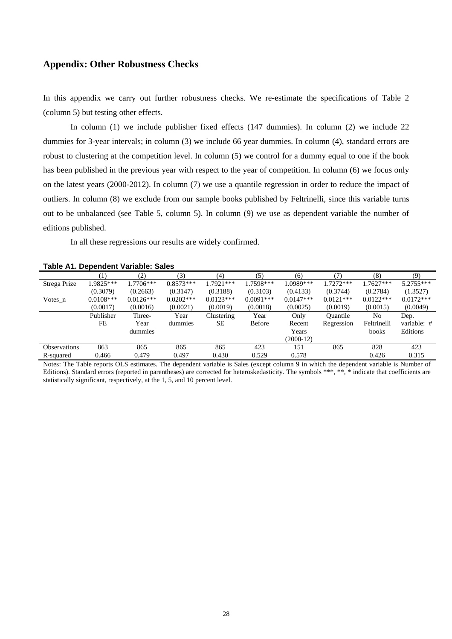## **Appendix: Other Robustness Checks**

In this appendix we carry out further robustness checks. We re-estimate the specifications of Table 2 (column 5) but testing other effects.

In column (1) we include publisher fixed effects (147 dummies). In column (2) we include 22 dummies for 3-year intervals; in column (3) we include 66 year dummies. In column (4), standard errors are robust to clustering at the competition level. In column (5) we control for a dummy equal to one if the book has been published in the previous year with respect to the year of competition. In column (6) we focus only on the latest years (2000-2012). In column (7) we use a quantile regression in order to reduce the impact of outliers. In column (8) we exclude from our sample books published by Feltrinelli, since this variable turns out to be unbalanced (see Table 5, column 5). In column (9) we use as dependent variable the number of editions published.

In all these regressions our results are widely confirmed.

| .                   |             |             |              |             |             |             |                 |             |             |
|---------------------|-------------|-------------|--------------|-------------|-------------|-------------|-----------------|-------------|-------------|
|                     |             | (2)         | (3)          | (4)         | (5)         | (6)         |                 | (8)         | (9)         |
| Strega Prize        | 1.9825***   | $1.7706***$ | $0.8573***$  | 1.7921***   | 1.7598***   | 1.0989***   | 1.7272***       | $1.7627***$ | $5.2755***$ |
|                     | (0.3079)    | (0.2663)    | (0.3147)     | (0.3188)    | (0.3103)    | (0.4133)    | (0.3744)        | (0.2784)    | (1.3527)    |
| Votes n             | $0.0108***$ | $0.0126***$ | $0.0202$ *** | $0.0123***$ | $0.0091***$ | $0.0147***$ | $0.0121***$     | $0.0122***$ | $0.0172***$ |
|                     | (0.0017)    | (0.0016)    | (0.0021)     | (0.0019)    | (0.0018)    | (0.0025)    | (0.0019)        | (0.0015)    | (0.0049)    |
|                     | Publisher   | Three-      | Year         | Clustering  | Year        | Only        | <b>Ouantile</b> | No          | Dep.        |
|                     | FE          | Year        | dummies      | SЕ          | Before      | Recent      | Regression      | Feltrinelli | variable: # |
|                     |             | dummies     |              |             |             | Years       |                 | books       | Editions    |
|                     |             |             |              |             |             | $(2000-12)$ |                 |             |             |
| <b>Observations</b> | 863         | 865         | 865          | 865         | 423         | 151         | 865             | 828         | 423         |
| R-squared           | 0.466       | 0.479       | 0.497        | 0.430       | 0.529       | 0.578       |                 | 0.426       | 0.315       |

| Table A1. Dependent Variable: Sales |
|-------------------------------------|
|-------------------------------------|

Notes: The Table reports OLS estimates. The dependent variable is Sales (except column 9 in which the dependent variable is Number of Editions). Standard errors (reported in parentheses) are corrected for heteroskedasticity. The symbols \*\*\*, \*\*, \* indicate that coefficients are statistically significant, respectively, at the 1, 5, and 10 percent level.